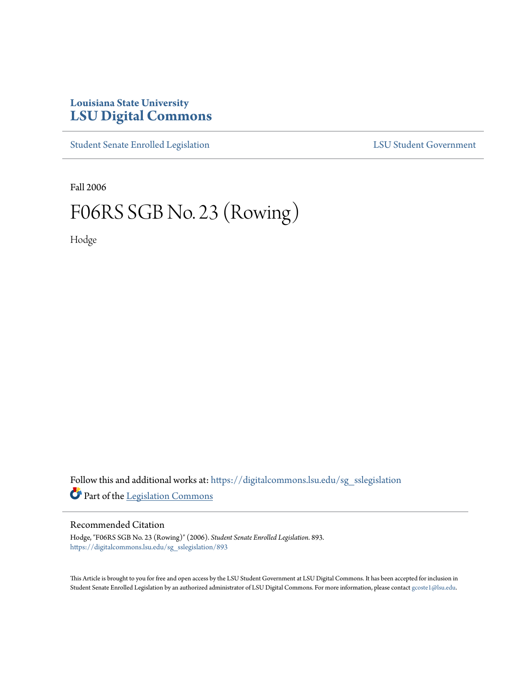## **Louisiana State University [LSU Digital Commons](https://digitalcommons.lsu.edu?utm_source=digitalcommons.lsu.edu%2Fsg_sslegislation%2F893&utm_medium=PDF&utm_campaign=PDFCoverPages)**

[Student Senate Enrolled Legislation](https://digitalcommons.lsu.edu/sg_sslegislation?utm_source=digitalcommons.lsu.edu%2Fsg_sslegislation%2F893&utm_medium=PDF&utm_campaign=PDFCoverPages) [LSU Student Government](https://digitalcommons.lsu.edu/sg?utm_source=digitalcommons.lsu.edu%2Fsg_sslegislation%2F893&utm_medium=PDF&utm_campaign=PDFCoverPages)

Fall 2006

## F06RS SGB No. 23 (Rowing)

Hodge

Follow this and additional works at: [https://digitalcommons.lsu.edu/sg\\_sslegislation](https://digitalcommons.lsu.edu/sg_sslegislation?utm_source=digitalcommons.lsu.edu%2Fsg_sslegislation%2F893&utm_medium=PDF&utm_campaign=PDFCoverPages) Part of the [Legislation Commons](http://network.bepress.com/hgg/discipline/859?utm_source=digitalcommons.lsu.edu%2Fsg_sslegislation%2F893&utm_medium=PDF&utm_campaign=PDFCoverPages)

## Recommended Citation

Hodge, "F06RS SGB No. 23 (Rowing)" (2006). *Student Senate Enrolled Legislation*. 893. [https://digitalcommons.lsu.edu/sg\\_sslegislation/893](https://digitalcommons.lsu.edu/sg_sslegislation/893?utm_source=digitalcommons.lsu.edu%2Fsg_sslegislation%2F893&utm_medium=PDF&utm_campaign=PDFCoverPages)

This Article is brought to you for free and open access by the LSU Student Government at LSU Digital Commons. It has been accepted for inclusion in Student Senate Enrolled Legislation by an authorized administrator of LSU Digital Commons. For more information, please contact [gcoste1@lsu.edu.](mailto:gcoste1@lsu.edu)